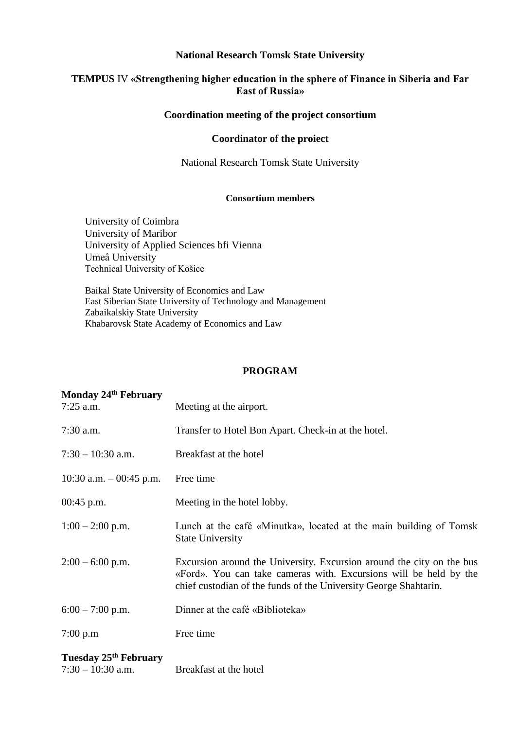#### **National Research Tomsk State University**

## **TEMPUS** IV **«Strengthening higher education in the sphere of Finance in Siberia and Far East of Russia»**

### **Coordination meeting of the project consortium**

#### **Coordinator of the proiect**

National Research Tomsk State University

#### **Consortium members**

University of Coimbra University of Maribor University of Applied Sciences bfi Vienna Umeå University Technical University of Košice

Baikal State University of Economics and Law East Siberian State University of Technology and Management Zabaikalskiy State University Khabarovsk State Academy of Economics and Law

#### **PROGRAM**

| Monday 24 <sup>th</sup> February<br>$7:25$ a.m.          | Meeting at the airport.                                                                                                                                                                                        |
|----------------------------------------------------------|----------------------------------------------------------------------------------------------------------------------------------------------------------------------------------------------------------------|
| $7:30$ a.m.                                              | Transfer to Hotel Bon Apart. Check-in at the hotel.                                                                                                                                                            |
| $7:30 - 10:30$ a.m.                                      | Breakfast at the hotel                                                                                                                                                                                         |
| 10:30 a.m. $-$ 00:45 p.m.                                | Free time                                                                                                                                                                                                      |
| $00:45$ p.m.                                             | Meeting in the hotel lobby.                                                                                                                                                                                    |
| $1:00 - 2:00$ p.m.                                       | Lunch at the café «Minutka», located at the main building of Tomsk<br><b>State University</b>                                                                                                                  |
| $2:00 - 6:00$ p.m.                                       | Excursion around the University. Excursion around the city on the bus<br>«Ford». You can take cameras with. Excursions will be held by the<br>chief custodian of the funds of the University George Shahtarin. |
| $6:00 - 7:00$ p.m.                                       | Dinner at the café «Biblioteka»                                                                                                                                                                                |
| 7:00 p.m                                                 | Free time                                                                                                                                                                                                      |
| Tuesday 25 <sup>th</sup> February<br>$7:30 - 10:30$ a.m. | Breakfast at the hotel                                                                                                                                                                                         |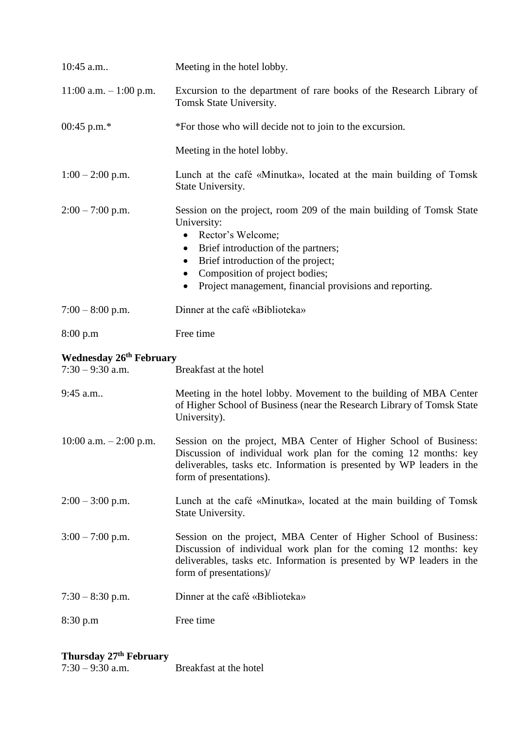| 10:45 a.m                                            | Meeting in the hotel lobby.                                                                                                                                                                                                                                                                                                                         |  |
|------------------------------------------------------|-----------------------------------------------------------------------------------------------------------------------------------------------------------------------------------------------------------------------------------------------------------------------------------------------------------------------------------------------------|--|
| $11:00$ a.m. $-1:00$ p.m.                            | Excursion to the department of rare books of the Research Library of<br>Tomsk State University.                                                                                                                                                                                                                                                     |  |
| 00:45 p.m. $*$                                       | *For those who will decide not to join to the excursion.                                                                                                                                                                                                                                                                                            |  |
|                                                      | Meeting in the hotel lobby.                                                                                                                                                                                                                                                                                                                         |  |
| $1:00 - 2:00$ p.m.                                   | Lunch at the café «Minutka», located at the main building of Tomsk<br>State University.                                                                                                                                                                                                                                                             |  |
| $2:00 - 7:00$ p.m.                                   | Session on the project, room 209 of the main building of Tomsk State<br>University:<br>Rector's Welcome;<br>$\bullet$<br>Brief introduction of the partners;<br>$\bullet$<br>Brief introduction of the project;<br>$\bullet$<br>Composition of project bodies;<br>$\bullet$<br>Project management, financial provisions and reporting.<br>$\bullet$ |  |
| $7:00 - 8:00$ p.m.                                   | Dinner at the café «Biblioteka»                                                                                                                                                                                                                                                                                                                     |  |
| 8:00 p.m                                             | Free time                                                                                                                                                                                                                                                                                                                                           |  |
|                                                      |                                                                                                                                                                                                                                                                                                                                                     |  |
| <b>Wednesday 26th February</b><br>$7:30 - 9:30$ a.m. | Breakfast at the hotel                                                                                                                                                                                                                                                                                                                              |  |
| 9:45 a.m                                             | Meeting in the hotel lobby. Movement to the building of MBA Center<br>of Higher School of Business (near the Research Library of Tomsk State<br>University).                                                                                                                                                                                        |  |
| 10:00 a.m. $-2:00$ p.m.                              | Session on the project, MBA Center of Higher School of Business:<br>Discussion of individual work plan for the coming 12 months: key<br>deliverables, tasks etc. Information is presented by WP leaders in the<br>form of presentations).                                                                                                           |  |
| $2:00 - 3:00$ p.m.                                   | Lunch at the café «Minutka», located at the main building of Tomsk<br>State University.                                                                                                                                                                                                                                                             |  |
| $3:00 - 7:00$ p.m.                                   | Session on the project, MBA Center of Higher School of Business:<br>Discussion of individual work plan for the coming 12 months: key<br>deliverables, tasks etc. Information is presented by WP leaders in the<br>form of presentations)/                                                                                                           |  |
| $7:30 - 8:30$ p.m.                                   | Dinner at the café «Biblioteka»                                                                                                                                                                                                                                                                                                                     |  |

# **Thursday 27th February**

| $7:30 - 9:30$ a.m. | Breakfast at the hotel |
|--------------------|------------------------|
|                    |                        |